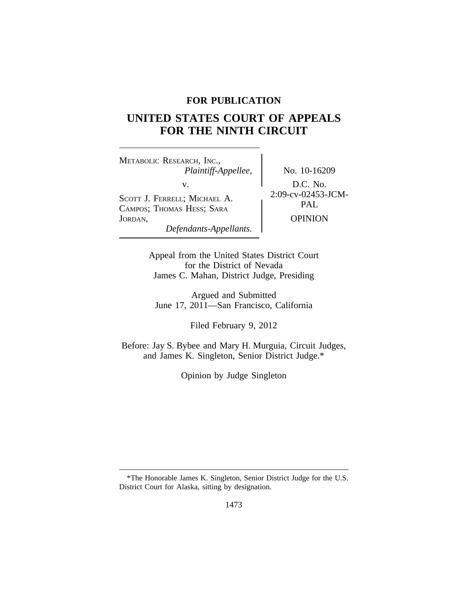# **FOR PUBLICATION**

# **UNITED STATES COURT OF APPEALS FOR THE NINTH CIRCUIT**

<sup>M</sup>ETABOLIC RESEARCH, INC., *Plaintiff-Appellee,* No. 10-16209 v.<br>
SCOTT J. FERRELL; MICHAEL A. 2:09-cv-02453-JCM-<br>
CALUPOS: TUOMAS HESS: SARA PAL CAMPOS; THOMAS HESS; SARA JORDAN, OPINION *Defendants-Appellants.*

Appeal from the United States District Court for the District of Nevada James C. Mahan, District Judge, Presiding

Argued and Submitted June 17, 2011—San Francisco, California

Filed February 9, 2012

Before: Jay S. Bybee and Mary H. Murguia, Circuit Judges, and James K. Singleton, Senior District Judge.\*

Opinion by Judge Singleton

<sup>\*</sup>The Honorable James K. Singleton, Senior District Judge for the U.S. District Court for Alaska, sitting by designation.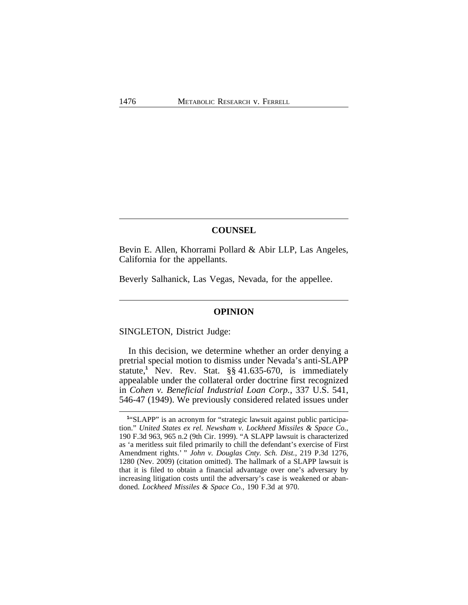### **COUNSEL**

Bevin E. Allen, Khorrami Pollard & Abir LLP, Las Angeles, California for the appellants.

Beverly Salhanick, Las Vegas, Nevada, for the appellee.

## **OPINION**

SINGLETON, District Judge:

In this decision, we determine whether an order denying a pretrial special motion to dismiss under Nevada's anti-SLAPP statute,**<sup>1</sup>** Nev. Rev. Stat. §§ 41.635-670, is immediately appealable under the collateral order doctrine first recognized in *Cohen v. Beneficial Industrial Loan Corp.*, 337 U.S. 541, 546-47 (1949). We previously considered related issues under

<sup>&</sup>lt;sup>1</sup>"SLAPP" is an acronym for "strategic lawsuit against public participation." *United States ex rel. Newsham v. Lockheed Missiles & Space Co.*, 190 F.3d 963, 965 n.2 (9th Cir. 1999). "A SLAPP lawsuit is characterized as 'a meritless suit filed primarily to chill the defendant's exercise of First Amendment rights.' " *John v. Douglas Cnty. Sch. Dist.*, 219 P.3d 1276, 1280 (Nev. 2009) (citation omitted). The hallmark of a SLAPP lawsuit is that it is filed to obtain a financial advantage over one's adversary by increasing litigation costs until the adversary's case is weakened or abandoned. *Lockheed Missiles & Space Co.*, 190 F.3d at 970.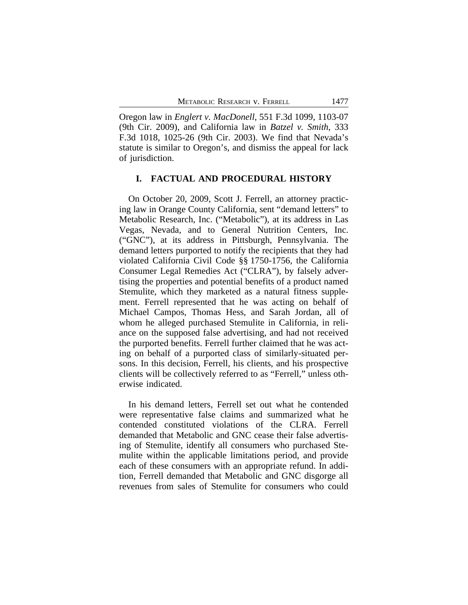Oregon law in *Englert v. MacDonell*, 551 F.3d 1099, 1103-07 (9th Cir. 2009), and California law in *Batzel v. Smith*, 333 F.3d 1018, 1025-26 (9th Cir. 2003). We find that Nevada's statute is similar to Oregon's, and dismiss the appeal for lack of jurisdiction.

## **I. FACTUAL AND PROCEDURAL HISTORY**

On October 20, 2009, Scott J. Ferrell, an attorney practicing law in Orange County California, sent "demand letters" to Metabolic Research, Inc. ("Metabolic"), at its address in Las Vegas, Nevada, and to General Nutrition Centers, Inc. ("GNC"), at its address in Pittsburgh, Pennsylvania. The demand letters purported to notify the recipients that they had violated California Civil Code §§ 1750-1756, the California Consumer Legal Remedies Act ("CLRA"), by falsely advertising the properties and potential benefits of a product named Stemulite, which they marketed as a natural fitness supplement. Ferrell represented that he was acting on behalf of Michael Campos, Thomas Hess, and Sarah Jordan, all of whom he alleged purchased Stemulite in California, in reliance on the supposed false advertising, and had not received the purported benefits. Ferrell further claimed that he was acting on behalf of a purported class of similarly-situated persons. In this decision, Ferrell, his clients, and his prospective clients will be collectively referred to as "Ferrell," unless otherwise indicated.

In his demand letters, Ferrell set out what he contended were representative false claims and summarized what he contended constituted violations of the CLRA. Ferrell demanded that Metabolic and GNC cease their false advertising of Stemulite, identify all consumers who purchased Stemulite within the applicable limitations period, and provide each of these consumers with an appropriate refund. In addition, Ferrell demanded that Metabolic and GNC disgorge all revenues from sales of Stemulite for consumers who could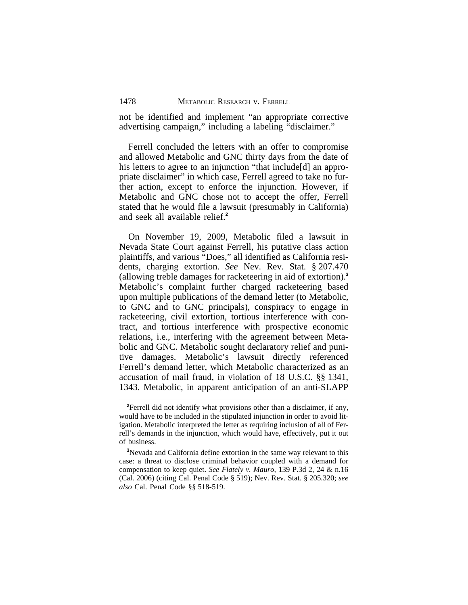not be identified and implement "an appropriate corrective advertising campaign," including a labeling "disclaimer."

Ferrell concluded the letters with an offer to compromise and allowed Metabolic and GNC thirty days from the date of his letters to agree to an injunction "that include[d] an appropriate disclaimer" in which case, Ferrell agreed to take no further action, except to enforce the injunction. However, if Metabolic and GNC chose not to accept the offer, Ferrell stated that he would file a lawsuit (presumably in California) and seek all available relief.**<sup>2</sup>**

On November 19, 2009, Metabolic filed a lawsuit in Nevada State Court against Ferrell, his putative class action plaintiffs, and various "Does," all identified as California residents, charging extortion. *See* Nev. Rev. Stat. § 207.470 (allowing treble damages for racketeering in aid of extortion).**<sup>3</sup>** Metabolic's complaint further charged racketeering based upon multiple publications of the demand letter (to Metabolic, to GNC and to GNC principals), conspiracy to engage in racketeering, civil extortion, tortious interference with contract, and tortious interference with prospective economic relations, i.e., interfering with the agreement between Metabolic and GNC. Metabolic sought declaratory relief and punitive damages. Metabolic's lawsuit directly referenced Ferrell's demand letter, which Metabolic characterized as an accusation of mail fraud, in violation of 18 U.S.C. §§ 1341, 1343. Metabolic, in apparent anticipation of an anti-SLAPP

<sup>&</sup>lt;sup>2</sup>Ferrell did not identify what provisions other than a disclaimer, if any, would have to be included in the stipulated injunction in order to avoid litigation. Metabolic interpreted the letter as requiring inclusion of all of Ferrell's demands in the injunction, which would have, effectively, put it out of business.

**<sup>3</sup>**Nevada and California define extortion in the same way relevant to this case: a threat to disclose criminal behavior coupled with a demand for compensation to keep quiet. *See Flately v. Mauro*, 139 P.3d 2, 24 & n.16 (Cal. 2006) (citing Cal. Penal Code § 519); Nev. Rev. Stat. § 205.320; *see also* Cal. Penal Code §§ 518-519.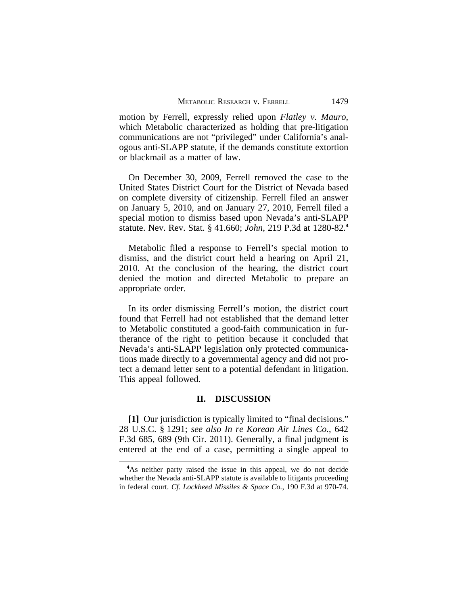motion by Ferrell, expressly relied upon *Flatley v. Mauro*, which Metabolic characterized as holding that pre-litigation communications are not "privileged" under California's analogous anti-SLAPP statute, if the demands constitute extortion or blackmail as a matter of law.

On December 30, 2009, Ferrell removed the case to the United States District Court for the District of Nevada based on complete diversity of citizenship. Ferrell filed an answer on January 5, 2010, and on January 27, 2010, Ferrell filed a special motion to dismiss based upon Nevada's anti-SLAPP statute. Nev. Rev. Stat. § 41.660; *John*, 219 P.3d at 1280-82*.* **4**

Metabolic filed a response to Ferrell's special motion to dismiss, and the district court held a hearing on April 21, 2010. At the conclusion of the hearing, the district court denied the motion and directed Metabolic to prepare an appropriate order.

In its order dismissing Ferrell's motion, the district court found that Ferrell had not established that the demand letter to Metabolic constituted a good-faith communication in furtherance of the right to petition because it concluded that Nevada's anti-SLAPP legislation only protected communications made directly to a governmental agency and did not protect a demand letter sent to a potential defendant in litigation. This appeal followed.

## **II. DISCUSSION**

**[1]** Our jurisdiction is typically limited to "final decisions." 28 U.S.C. § 1291; *see also In re Korean Air Lines Co.*, 642 F.3d 685, 689 (9th Cir. 2011). Generally, a final judgment is entered at the end of a case, permitting a single appeal to

**<sup>4</sup>**As neither party raised the issue in this appeal, we do not decide whether the Nevada anti-SLAPP statute is available to litigants proceeding in federal court. *Cf. Lockheed Missiles & Space Co.*, 190 F.3d at 970-74.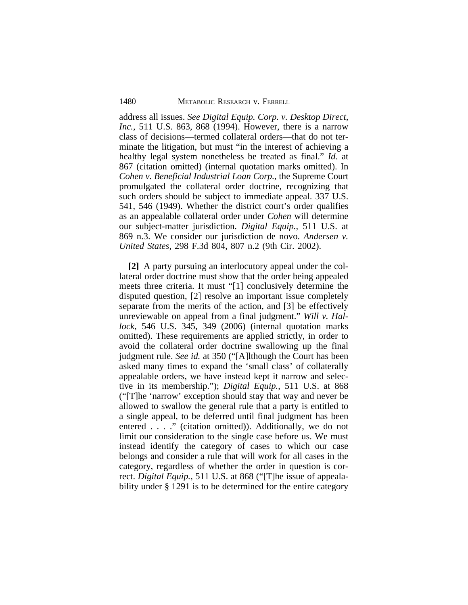address all issues. *See Digital Equip. Corp. v. Desktop Direct, Inc.*, 511 U.S. 863, 868 (1994). However, there is a narrow class of decisions—termed collateral orders—that do not terminate the litigation, but must "in the interest of achieving a healthy legal system nonetheless be treated as final." *Id*. at 867 (citation omitted) (internal quotation marks omitted). In *Cohen v. Beneficial Industrial Loan Corp.*, the Supreme Court promulgated the collateral order doctrine, recognizing that such orders should be subject to immediate appeal. 337 U.S. 541, 546 (1949). Whether the district court's order qualifies as an appealable collateral order under *Cohen* will determine our subject-matter jurisdiction. *Digital Equip.,* 511 U.S. at 869 n.3. We consider our jurisdiction de novo. *Andersen v. United States*, 298 F.3d 804, 807 n.2 (9th Cir. 2002).

**[2]** A party pursuing an interlocutory appeal under the collateral order doctrine must show that the order being appealed meets three criteria. It must "[1] conclusively determine the disputed question, [2] resolve an important issue completely separate from the merits of the action, and [3] be effectively unreviewable on appeal from a final judgment." *Will v. Hallock*, 546 U.S. 345, 349 (2006) (internal quotation marks omitted). These requirements are applied strictly, in order to avoid the collateral order doctrine swallowing up the final judgment rule. *See id.* at 350 ("[A]lthough the Court has been asked many times to expand the 'small class' of collaterally appealable orders, we have instead kept it narrow and selective in its membership."); *Digital Equip.*, 511 U.S. at 868 ("[T]he 'narrow' exception should stay that way and never be allowed to swallow the general rule that a party is entitled to a single appeal, to be deferred until final judgment has been entered . . . ." (citation omitted)). Additionally, we do not limit our consideration to the single case before us. We must instead identify the category of cases to which our case belongs and consider a rule that will work for all cases in the category, regardless of whether the order in question is correct. *Digital Equip.*, 511 U.S. at 868 ("[T]he issue of appealability under § 1291 is to be determined for the entire category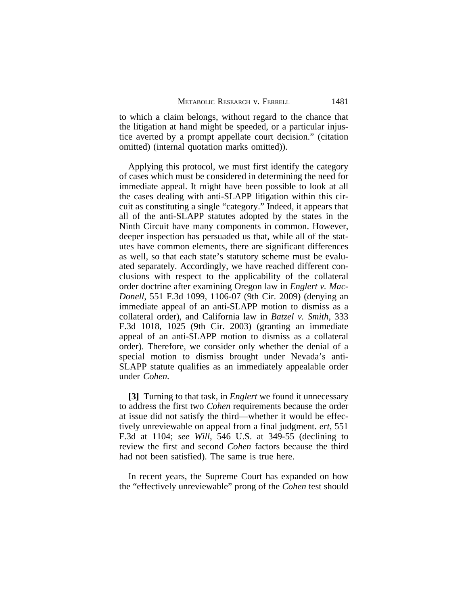to which a claim belongs, without regard to the chance that the litigation at hand might be speeded, or a particular injustice averted by a prompt appellate court decision." (citation omitted) (internal quotation marks omitted)).

Applying this protocol, we must first identify the category of cases which must be considered in determining the need for immediate appeal. It might have been possible to look at all the cases dealing with anti-SLAPP litigation within this circuit as constituting a single "category." Indeed, it appears that all of the anti-SLAPP statutes adopted by the states in the Ninth Circuit have many components in common. However, deeper inspection has persuaded us that, while all of the statutes have common elements, there are significant differences as well, so that each state's statutory scheme must be evaluated separately. Accordingly, we have reached different conclusions with respect to the applicability of the collateral order doctrine after examining Oregon law in *Englert v. Mac-Donell*, 551 F.3d 1099, 1106-07 (9th Cir. 2009) (denying an immediate appeal of an anti-SLAPP motion to dismiss as a collateral order), and California law in *Batzel v. Smith*, 333 F.3d 1018, 1025 (9th Cir. 2003) (granting an immediate appeal of an anti-SLAPP motion to dismiss as a collateral order). Therefore, we consider only whether the denial of a special motion to dismiss brought under Nevada's anti-SLAPP statute qualifies as an immediately appealable order under *Cohen.*

**[3]** Turning to that task, in *Englert* we found it unnecessary to address the first two *Cohen* requirements because the order at issue did not satisfy the third—whether it would be effectively unreviewable on appeal from a final judgment. *ert*, 551 F.3d at 1104; *see Will*, 546 U.S. at 349-55 (declining to review the first and second *Cohen* factors because the third had not been satisfied). The same is true here.

In recent years, the Supreme Court has expanded on how the "effectively unreviewable" prong of the *Cohen* test should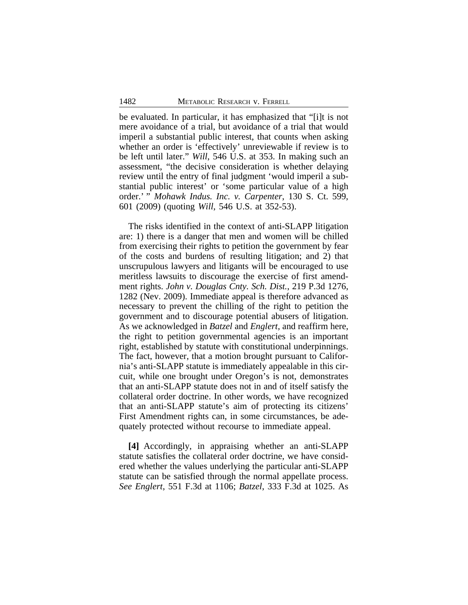be evaluated. In particular, it has emphasized that "[i]t is not mere avoidance of a trial, but avoidance of a trial that would imperil a substantial public interest, that counts when asking whether an order is 'effectively' unreviewable if review is to be left until later." *Will*, 546 U.S. at 353. In making such an assessment, "the decisive consideration is whether delaying review until the entry of final judgment 'would imperil a substantial public interest' or 'some particular value of a high order.' " *Mohawk Indus. Inc. v. Carpenter*, 130 S. Ct. 599, 601 (2009) (quoting *Will*, 546 U.S. at 352-53).

The risks identified in the context of anti-SLAPP litigation are: 1) there is a danger that men and women will be chilled from exercising their rights to petition the government by fear of the costs and burdens of resulting litigation; and 2) that unscrupulous lawyers and litigants will be encouraged to use meritless lawsuits to discourage the exercise of first amendment rights. *John v. Douglas Cnty. Sch. Dist.*, 219 P.3d 1276, 1282 (Nev. 2009). Immediate appeal is therefore advanced as necessary to prevent the chilling of the right to petition the government and to discourage potential abusers of litigation. As we acknowledged in *Batzel* and *Englert*, and reaffirm here, the right to petition governmental agencies is an important right, established by statute with constitutional underpinnings. The fact, however, that a motion brought pursuant to California's anti-SLAPP statute is immediately appealable in this circuit, while one brought under Oregon's is not, demonstrates that an anti-SLAPP statute does not in and of itself satisfy the collateral order doctrine. In other words, we have recognized that an anti-SLAPP statute's aim of protecting its citizens' First Amendment rights can, in some circumstances, be adequately protected without recourse to immediate appeal.

**[4]** Accordingly, in appraising whether an anti-SLAPP statute satisfies the collateral order doctrine, we have considered whether the values underlying the particular anti-SLAPP statute can be satisfied through the normal appellate process. *See Englert*, 551 F.3d at 1106; *Batzel*, 333 F.3d at 1025. As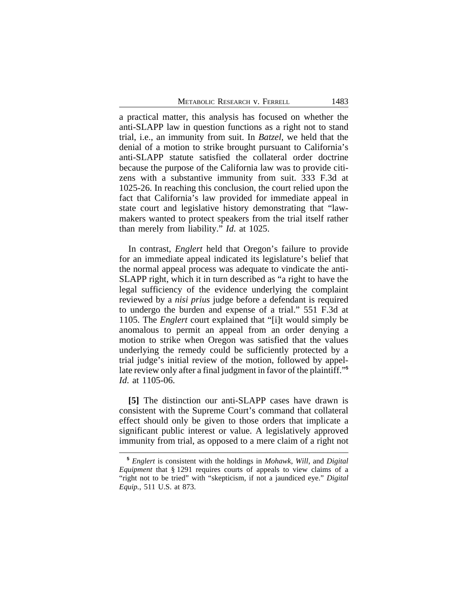a practical matter, this analysis has focused on whether the anti-SLAPP law in question functions as a right not to stand trial, i.e., an immunity from suit. In *Batzel*, we held that the denial of a motion to strike brought pursuant to California's anti-SLAPP statute satisfied the collateral order doctrine because the purpose of the California law was to provide citizens with a substantive immunity from suit. 333 F.3d at 1025-26. In reaching this conclusion, the court relied upon the fact that California's law provided for immediate appeal in state court and legislative history demonstrating that "lawmakers wanted to protect speakers from the trial itself rather than merely from liability." *Id*. at 1025.

In contrast, *Englert* held that Oregon's failure to provide for an immediate appeal indicated its legislature's belief that the normal appeal process was adequate to vindicate the anti-SLAPP right, which it in turn described as "a right to have the legal sufficiency of the evidence underlying the complaint reviewed by a *nisi prius* judge before a defendant is required to undergo the burden and expense of a trial." 551 F.3d at 1105. The *Englert* court explained that "[i]t would simply be anomalous to permit an appeal from an order denying a motion to strike when Oregon was satisfied that the values underlying the remedy could be sufficiently protected by a trial judge's initial review of the motion, followed by appellate review only after a final judgment in favor of the plaintiff." **5** *Id*. at 1105-06.

**[5]** The distinction our anti-SLAPP cases have drawn is consistent with the Supreme Court's command that collateral effect should only be given to those orders that implicate a significant public interest or value. A legislatively approved immunity from trial, as opposed to a mere claim of a right not

**<sup>5</sup>**  *Englert* is consistent with the holdings in *Mohawk*, *Will*, and *Digital Equipment* that § 1291 requires courts of appeals to view claims of a "right not to be tried" with "skepticism, if not a jaundiced eye." *Digital Equip.*, 511 U.S. at 873.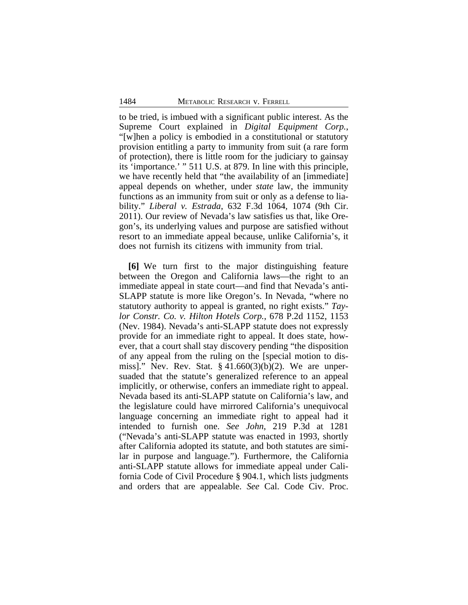to be tried, is imbued with a significant public interest. As the Supreme Court explained in *Digital Equipment Corp.*, "[w]hen a policy is embodied in a constitutional or statutory provision entitling a party to immunity from suit (a rare form of protection), there is little room for the judiciary to gainsay its 'importance.' " 511 U.S. at 879. In line with this principle, we have recently held that "the availability of an [immediate] appeal depends on whether, under *state* law, the immunity functions as an immunity from suit or only as a defense to liability." *Liberal v. Estrada*, 632 F.3d 1064, 1074 (9th Cir. 2011). Our review of Nevada's law satisfies us that, like Oregon's, its underlying values and purpose are satisfied without resort to an immediate appeal because, unlike California's, it does not furnish its citizens with immunity from trial.

**[6]** We turn first to the major distinguishing feature between the Oregon and California laws—the right to an immediate appeal in state court—and find that Nevada's anti-SLAPP statute is more like Oregon's. In Nevada, "where no statutory authority to appeal is granted, no right exists." *Taylor Constr. Co. v. Hilton Hotels Corp.*, 678 P.2d 1152, 1153 (Nev. 1984). Nevada's anti-SLAPP statute does not expressly provide for an immediate right to appeal. It does state, however, that a court shall stay discovery pending "the disposition of any appeal from the ruling on the [special motion to dismiss]." Nev. Rev. Stat. § 41.660(3)(b)(2). We are unpersuaded that the statute's generalized reference to an appeal implicitly, or otherwise, confers an immediate right to appeal. Nevada based its anti-SLAPP statute on California's law, and the legislature could have mirrored California's unequivocal language concerning an immediate right to appeal had it intended to furnish one. *See John*, 219 P.3d at 1281 ("Nevada's anti-SLAPP statute was enacted in 1993, shortly after California adopted its statute, and both statutes are similar in purpose and language."). Furthermore, the California anti-SLAPP statute allows for immediate appeal under California Code of Civil Procedure § 904.1, which lists judgments and orders that are appealable. *See* Cal. Code Civ. Proc.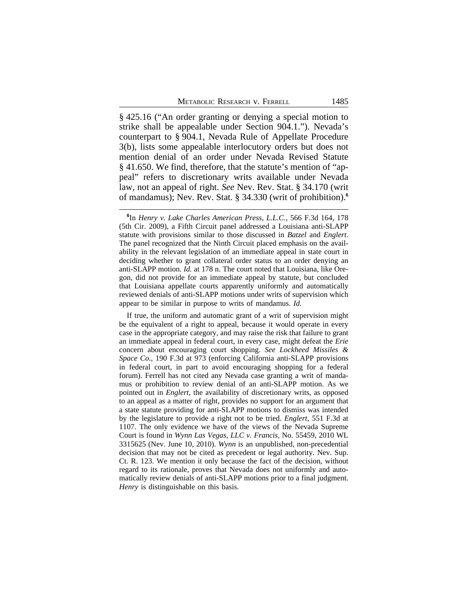§ 425.16 ("An order granting or denying a special motion to strike shall be appealable under Section 904.1."). Nevada's counterpart to § 904.1, Nevada Rule of Appellate Procedure 3(b), lists some appealable interlocutory orders but does not mention denial of an order under Nevada Revised Statute § 41.650. We find, therefore, that the statute's mention of "appeal" refers to discretionary writs available under Nevada law, not an appeal of right. *See* Nev. Rev. Stat. § 34.170 (writ of mandamus); Nev. Rev. Stat. § 34.330 (writ of prohibition).**<sup>6</sup>**

If true, the uniform and automatic grant of a writ of supervision might be the equivalent of a right to appeal, because it would operate in every case in the appropriate category, and may raise the risk that failure to grant an immediate appeal in federal court, in every case, might defeat the *Erie* concern about encouraging court shopping. *See Lockheed Missiles & Space Co.*, 190 F.3d at 973 (enforcing California anti-SLAPP provisions in federal court, in part to avoid encouraging shopping for a federal forum). Ferrell has not cited any Nevada case granting a writ of mandamus or prohibition to review denial of an anti-SLAPP motion. As we pointed out in *Englert,* the availability of discretionary writs, as opposed to an appeal as a matter of right, provides no support for an argument that a state statute providing for anti-SLAPP motions to dismiss was intended by the legislature to provide a right not to be tried. *Englert*, 551 F.3d at 1107. The only evidence we have of the views of the Nevada Supreme Court is found in *Wynn Las Vegas, LLC v. Francis*, No. 55459, 2010 WL 3315625 (Nev. June 10, 2010). *Wynn* is an unpublished, non-precedential decision that may not be cited as precedent or legal authority. Nev. Sup. Ct. R. 123. We mention it only because the fact of the decision, without regard to its rationale, proves that Nevada does not uniformly and automatically review denials of anti-SLAPP motions prior to a final judgment. *Henry* is distinguishable on this basis.

**<sup>6</sup>** In *Henry v. Lake Charles American Press, L.L.C.*, 566 F.3d 164, 178 (5th Cir. 2009), a Fifth Circuit panel addressed a Louisiana anti-SLAPP statute with provisions similar to those discussed in *Batzel* and *Englert*. The panel recognized that the Ninth Circuit placed emphasis on the availability in the relevant legislation of an immediate appeal in state court in deciding whether to grant collateral order status to an order denying an anti-SLAPP motion. *Id.* at 178 n. The court noted that Louisiana, like Oregon, did not provide for an immediate appeal by statute, but concluded that Louisiana appellate courts apparently uniformly and automatically reviewed denials of anti-SLAPP motions under writs of supervision which appear to be similar in purpose to writs of mandamus. *Id.*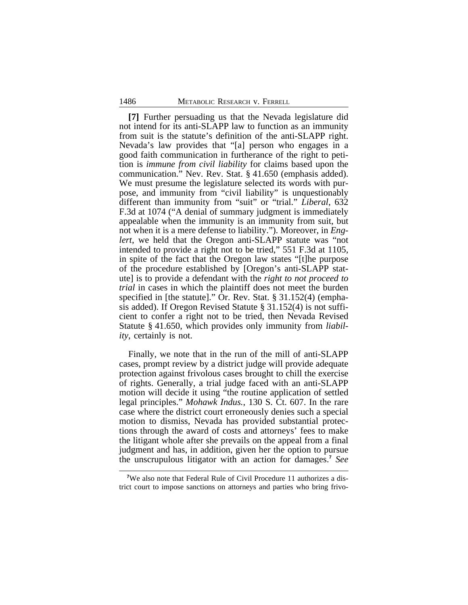**[7]** Further persuading us that the Nevada legislature did not intend for its anti-SLAPP law to function as an immunity from suit is the statute's definition of the anti-SLAPP right. Nevada's law provides that "[a] person who engages in a good faith communication in furtherance of the right to petition is *immune from civil liability* for claims based upon the communication." Nev. Rev. Stat. § 41.650 (emphasis added). We must presume the legislature selected its words with purpose, and immunity from "civil liability" is unquestionably different than immunity from "suit" or "trial." *Liberal*, 632 F.3d at 1074 ("A denial of summary judgment is immediately appealable when the immunity is an immunity from suit, but not when it is a mere defense to liability."). Moreover, in *Englert*, we held that the Oregon anti-SLAPP statute was "not intended to provide a right not to be tried," 551 F.3d at 1105, in spite of the fact that the Oregon law states "[t]he purpose of the procedure established by [Oregon's anti-SLAPP statute] is to provide a defendant with the *right to not proceed to trial* in cases in which the plaintiff does not meet the burden specified in [the statute]." Or. Rev. Stat. § 31.152(4) (emphasis added). If Oregon Revised Statute § 31.152(4) is not sufficient to confer a right not to be tried, then Nevada Revised Statute § 41.650, which provides only immunity from *liability*, certainly is not.

Finally, we note that in the run of the mill of anti-SLAPP cases, prompt review by a district judge will provide adequate protection against frivolous cases brought to chill the exercise of rights. Generally, a trial judge faced with an anti-SLAPP motion will decide it using "the routine application of settled legal principles." *Mohawk Indus.*, 130 S. Ct. 607. In the rare case where the district court erroneously denies such a special motion to dismiss, Nevada has provided substantial protections through the award of costs and attorneys' fees to make the litigant whole after she prevails on the appeal from a final judgment and has, in addition, given her the option to pursue the unscrupulous litigator with an action for damages.**<sup>7</sup>** *See*

**<sup>7</sup>**We also note that Federal Rule of Civil Procedure 11 authorizes a district court to impose sanctions on attorneys and parties who bring frivo-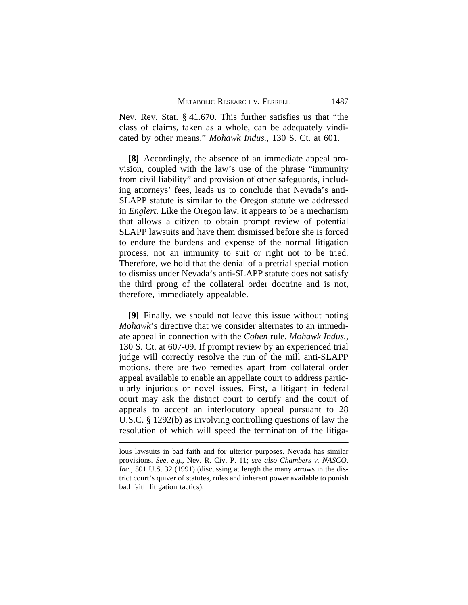Nev. Rev. Stat. § 41.670. This further satisfies us that "the class of claims, taken as a whole, can be adequately vindicated by other means." *Mohawk Indus.*, 130 S. Ct. at 601.

**[8]** Accordingly, the absence of an immediate appeal provision, coupled with the law's use of the phrase "immunity from civil liability" and provision of other safeguards, including attorneys' fees, leads us to conclude that Nevada's anti-SLAPP statute is similar to the Oregon statute we addressed in *Englert*. Like the Oregon law, it appears to be a mechanism that allows a citizen to obtain prompt review of potential SLAPP lawsuits and have them dismissed before she is forced to endure the burdens and expense of the normal litigation process, not an immunity to suit or right not to be tried. Therefore, we hold that the denial of a pretrial special motion to dismiss under Nevada's anti-SLAPP statute does not satisfy the third prong of the collateral order doctrine and is not, therefore, immediately appealable.

**[9]** Finally, we should not leave this issue without noting *Mohawk*'s directive that we consider alternates to an immediate appeal in connection with the *Cohen* rule. *Mohawk Indus.*, 130 S. Ct. at 607-09. If prompt review by an experienced trial judge will correctly resolve the run of the mill anti-SLAPP motions, there are two remedies apart from collateral order appeal available to enable an appellate court to address particularly injurious or novel issues. First, a litigant in federal court may ask the district court to certify and the court of appeals to accept an interlocutory appeal pursuant to 28 U.S.C. § 1292(b) as involving controlling questions of law the resolution of which will speed the termination of the litiga-

lous lawsuits in bad faith and for ulterior purposes. Nevada has similar provisions. *See*, *e.g.*, Nev. R. Civ. P. 11; *see also Chambers v. NASCO, Inc.*, 501 U.S. 32 (1991) (discussing at length the many arrows in the district court's quiver of statutes, rules and inherent power available to punish bad faith litigation tactics).